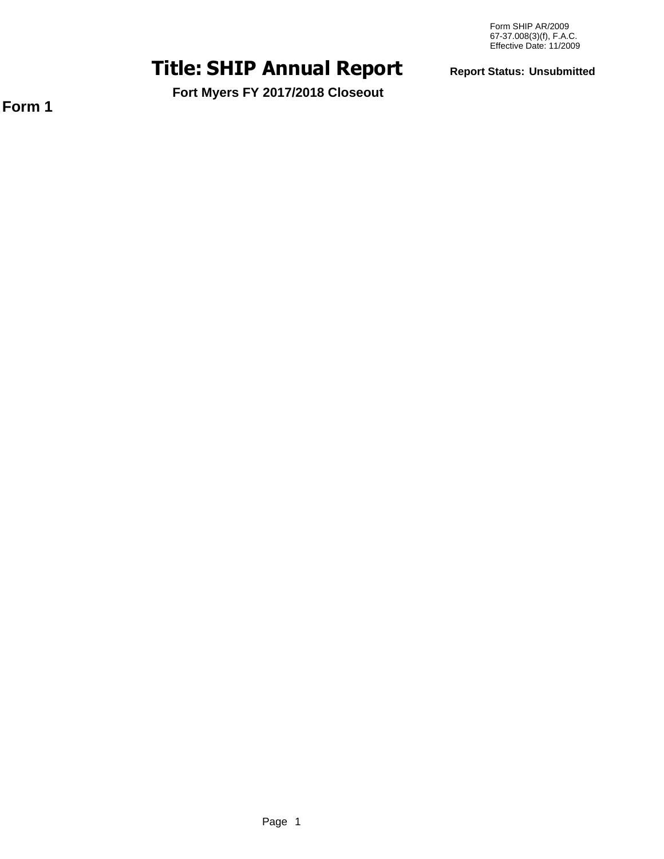# **SHIP Annual Report Title: Report Status: Unsubmitted**

**Form 1**

**Fort Myers FY 2017/2018 Closeout**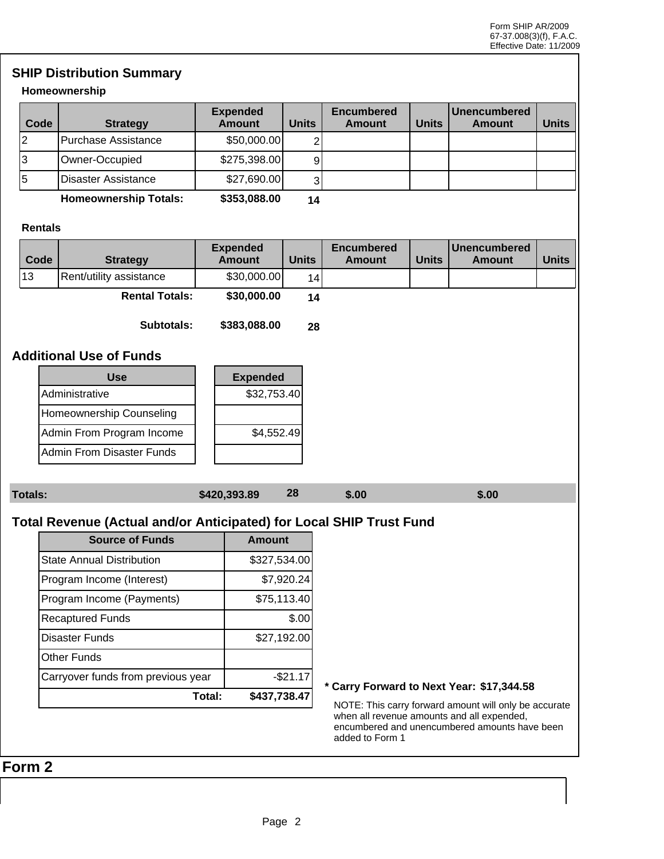## **SHIP Distribution Summary**

#### **Homeownership**

| Code | <b>Strategy</b>     | <b>Expended</b><br><b>Amount</b> | <b>Units</b> | <b>Encumbered</b><br>Amount | <b>Units</b> | Unencumbered<br><b>Amount</b> | <b>Units</b> |
|------|---------------------|----------------------------------|--------------|-----------------------------|--------------|-------------------------------|--------------|
| 12   | Purchase Assistance | \$50,000.00]                     |              |                             |              |                               |              |
| 13   | Owner-Occupied      | \$275,398.00                     | 9            |                             |              |                               |              |
| 5    | Disaster Assistance | \$27,690.00                      |              |                             |              |                               |              |
|      |                     | $A - A - A - A - A - A$          | .            |                             |              |                               |              |

**Homeownership Totals: \$353,088.00 14**

#### **Rentals**

| Code | <b>Strategy</b>         | <b>Expended</b><br><b>Amount</b> | <b>Units</b> | <b>Encumbered</b><br>Amount | <b>Units</b> | <b>I</b> Unencumbered<br>Amount | <b>Units</b> |
|------|-------------------------|----------------------------------|--------------|-----------------------------|--------------|---------------------------------|--------------|
| 13   | Rent/utility assistance | \$30,000.00]                     | 4            |                             |              |                                 |              |
|      | <b>Rental Totals:</b>   | \$30,000.00                      | 14           |                             |              |                                 |              |

**Subtotals: \$383,088.00 28**

#### **Additional Use of Funds**

| Use                       | <b>Expended</b> |
|---------------------------|-----------------|
| Administrative            | \$32,753.40     |
| Homeownership Counseling  |                 |
| Admin From Program Income | \$4,552.49      |
| Admin From Disaster Funds |                 |

| <b>Totals:</b> | \$420,393.89 | 28 | \$.00 | \$.00 |
|----------------|--------------|----|-------|-------|
|                |              |    |       |       |

## **Total Revenue (Actual and/or Anticipated) for Local SHIP Trust Fund**

| <b>Source of Funds</b>             | Amount       |
|------------------------------------|--------------|
| <b>State Annual Distribution</b>   | \$327,534.00 |
| Program Income (Interest)          | \$7,920.24   |
| Program Income (Payments)          | \$75,113.40  |
| <b>Recaptured Funds</b>            | \$.00        |
| Disaster Funds                     | \$27,192.00  |
| Other Funds                        |              |
| Carryover funds from previous year | $-$21.17$    |
| Total:                             | \$437,738.47 |

#### **\* Carry Forward to Next Year: \$17,344.58**

NOTE: This carry forward amount will only be accurate when all revenue amounts and all expended, encumbered and unencumbered amounts have been added to Form 1

# **Form 2**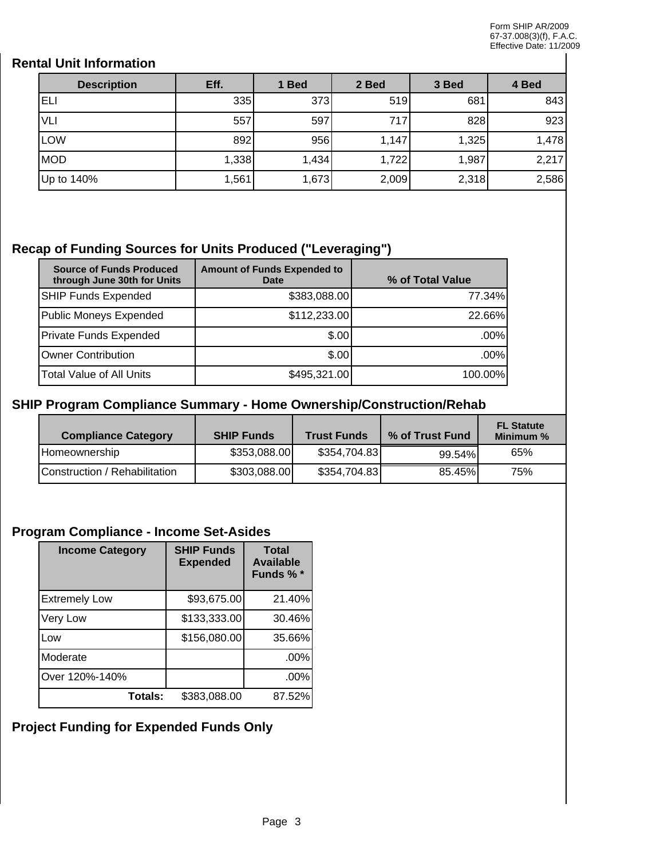## **Rental Unit Information**

| <b>Description</b> | Eff.  | 1 Bed | 2 Bed | 3 Bed | 4 Bed |
|--------------------|-------|-------|-------|-------|-------|
| ELI                | 335   | 373   | 519   | 681   | 843   |
| VLI                | 557   | 597   | 717   | 828   | 923   |
| <b>LOW</b>         | 892   | 956   | 1,147 | 1,325 | 1,478 |
| <b>MOD</b>         | 1,338 | 1,434 | 1,722 | 1,987 | 2,217 |
| Up to 140%         | 1,561 | 1,673 | 2,009 | 2,318 | 2,586 |

## **Recap of Funding Sources for Units Produced ("Leveraging")**

| <b>Source of Funds Produced</b><br>through June 30th for Units | <b>Amount of Funds Expended to</b><br>Date | % of Total Value |
|----------------------------------------------------------------|--------------------------------------------|------------------|
| <b>SHIP Funds Expended</b>                                     | \$383,088.00                               | 77.34%           |
| Public Moneys Expended                                         | \$112,233.00                               | 22.66%           |
| Private Funds Expended                                         | \$.00                                      | .00%             |
| Owner Contribution                                             | \$.00                                      | $.00\%$          |
| Total Value of All Units                                       | \$495,321.00                               | 100.00%          |

### **SHIP Program Compliance Summary - Home Ownership/Construction/Rehab**

| <b>Compliance Category</b>    | <b>SHIP Funds</b> | <b>Trust Funds</b> | % of Trust Fund | <b>FL Statute</b><br>Minimum % |
|-------------------------------|-------------------|--------------------|-----------------|--------------------------------|
| Homeownership                 | \$353,088.00      | \$354,704.83       | 99.54%          | 65%                            |
| Construction / Rehabilitation | \$303,088.00      | \$354,704.83       | 85.45%          | 75%                            |

## **Program Compliance - Income Set-Asides**

| <b>Income Category</b> | <b>SHIP Funds</b><br><b>Expended</b> | <b>Total</b><br><b>Available</b><br>Funds % * |
|------------------------|--------------------------------------|-----------------------------------------------|
| <b>Extremely Low</b>   | \$93,675.00                          | 21.40%                                        |
| Very Low               | \$133,333.00                         | 30.46%                                        |
| Low                    | \$156,080.00                         | 35.66%                                        |
| Moderate               |                                      | .00%                                          |
| Over 120%-140%         |                                      | .00%                                          |
| Totals:                | \$383,088.00                         | 87.52%                                        |

# **Project Funding for Expended Funds Only**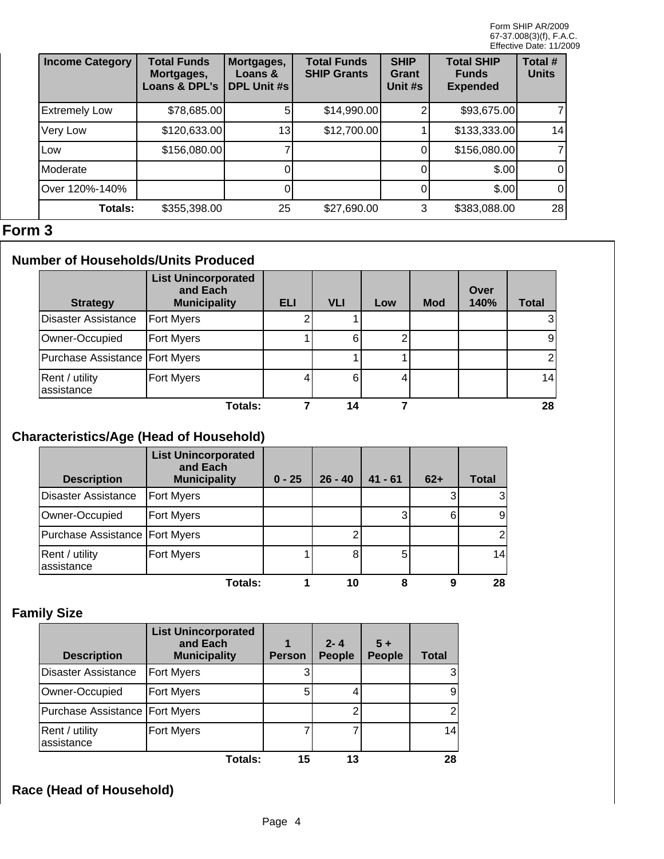| <b>Income Category</b> | <b>Total Funds</b><br>Mortgages,<br>Loans & DPL's | Mortgages,<br>Loans &<br><b>DPL Unit #s</b> | <b>Total Funds</b><br><b>SHIP Grants</b> | <b>SHIP</b><br>Grant<br>Unit #s | <b>Total SHIP</b><br><b>Funds</b><br><b>Expended</b> | Total #<br><b>Units</b> |
|------------------------|---------------------------------------------------|---------------------------------------------|------------------------------------------|---------------------------------|------------------------------------------------------|-------------------------|
| <b>Extremely Low</b>   | \$78,685.00                                       |                                             | \$14,990.00                              |                                 | \$93,675.00                                          | $\overline{7}$          |
| Very Low               | \$120,633.00                                      | 13                                          | \$12,700.00                              |                                 | \$133,333.00                                         | 14                      |
| <b>Low</b>             | \$156,080.00                                      |                                             |                                          | 0                               | \$156,080.00                                         | $\overline{7}$          |
| Moderate               |                                                   |                                             |                                          |                                 | \$.00                                                | 0                       |
| Over 120%-140%         |                                                   |                                             |                                          |                                 | \$.00                                                | 0                       |
| <b>Totals:</b>         | \$355,398.00                                      | 25                                          | \$27,690.00                              | 3                               | \$383,088.00                                         | 28                      |

## **Form 3**

# **Number of Households/Units Produced**

| <b>Strategy</b>                | <b>List Unincorporated</b><br>and Each<br><b>Municipality</b> | <b>ELI</b> | <b>VLI</b> | Low | <b>Mod</b> | Over<br>140% | <b>Total</b> |
|--------------------------------|---------------------------------------------------------------|------------|------------|-----|------------|--------------|--------------|
| Disaster Assistance            | Fort Myers                                                    |            |            |     |            |              |              |
| Owner-Occupied                 | Fort Myers                                                    |            | 6          |     |            |              | 9            |
| Purchase Assistance Fort Myers |                                                               |            |            |     |            |              |              |
| Rent / utility<br>assistance   | <b>Fort Myers</b>                                             |            | 6          |     |            |              | 14           |
|                                | Totals:                                                       |            | 14         |     |            |              | 28           |

# **Characteristics/Age (Head of Household)**

| <b>Description</b>               | <b>List Unincorporated</b><br>and Each<br><b>Municipality</b> | $0 - 25$ | $26 - 40$ | $41 - 61$ | $62+$ | <b>Total</b> |
|----------------------------------|---------------------------------------------------------------|----------|-----------|-----------|-------|--------------|
| Disaster Assistance              | <b>Fort Myers</b>                                             |          |           |           |       |              |
| Owner-Occupied                   | <b>Fort Myers</b>                                             |          |           | 3         | 6     | 9            |
| Purchase Assistance   Fort Myers |                                                               |          |           |           |       |              |
| Rent / utility<br>assistance     | <b>Fort Myers</b>                                             |          | 8         | 5         |       | 14           |
|                                  | Totals:                                                       |          | 10        |           | 9     | 28           |

## **Family Size**

| <b>Description</b>               | <b>List Unincorporated</b><br>and Each<br><b>Municipality</b> | <b>Person</b> | $2 - 4$<br><b>People</b> | $5+$<br><b>People</b> | <b>Total</b> |
|----------------------------------|---------------------------------------------------------------|---------------|--------------------------|-----------------------|--------------|
| <b>Disaster Assistance</b>       | <b>Fort Myers</b>                                             |               |                          |                       | 3            |
| Owner-Occupied                   | Fort Myers                                                    | 5             |                          |                       | 9            |
| Purchase Assistance   Fort Myers |                                                               |               |                          |                       |              |
| Rent / utility<br>assistance     | Fort Myers                                                    |               |                          |                       | 14           |
|                                  | Totals:                                                       | 15            | 13                       |                       | 28           |

# **Race (Head of Household)**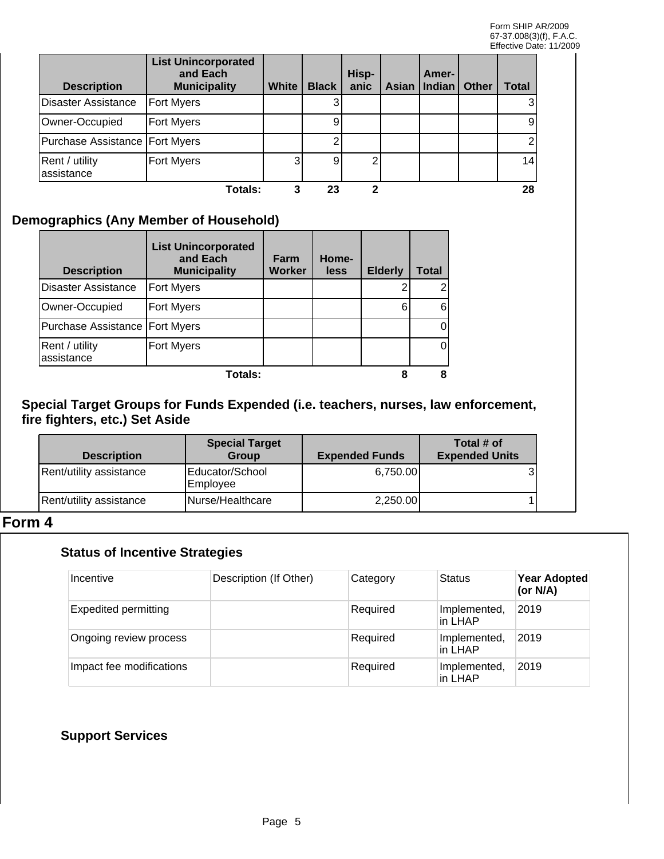| <b>Description</b>               | <b>List Unincorporated</b><br>and Each<br><b>Municipality</b> | <b>White</b> | <b>Black</b> | Hisp-<br>anic | Amer-<br>Asian   Indian | Other | Total |
|----------------------------------|---------------------------------------------------------------|--------------|--------------|---------------|-------------------------|-------|-------|
| <b>Disaster Assistance</b>       | Fort Myers                                                    |              |              |               |                         |       |       |
| Owner-Occupied                   | Fort Myers                                                    |              | 9            |               |                         |       | 9     |
| Purchase Assistance   Fort Myers |                                                               |              |              |               |                         |       |       |
| Rent / utility<br>lassistance    | <b>Fort Myers</b>                                             |              | 9            |               |                         |       | 14    |
|                                  | Totals:                                                       |              | 23           |               |                         |       | 28    |

## **Demographics (Any Member of Household)**

| <b>Description</b>               | <b>List Unincorporated</b><br>and Each<br><b>Municipality</b> | Farm<br><b>Worker</b> | Home-<br>less | <b>Elderly</b> | Total |
|----------------------------------|---------------------------------------------------------------|-----------------------|---------------|----------------|-------|
| Disaster Assistance              | <b>Fort Myers</b>                                             |                       |               |                |       |
| Owner-Occupied                   | <b>Fort Myers</b>                                             |                       |               | 6              |       |
| Purchase Assistance   Fort Myers |                                                               |                       |               |                |       |
| Rent / utility<br>assistance     | <b>Fort Myers</b>                                             |                       |               |                |       |
|                                  | <b>Totals:</b>                                                |                       |               |                |       |

#### **Special Target Groups for Funds Expended (i.e. teachers, nurses, law enforcement, fire fighters, etc.) Set Aside**

| <b>Description</b>      | <b>Special Target</b><br><b>Group</b> | <b>Expended Funds</b> | Total # of<br><b>Expended Units</b> |
|-------------------------|---------------------------------------|-----------------------|-------------------------------------|
| Rent/utility assistance | Educator/School<br> Emplovee          | 6,750.00              |                                     |
| Rent/utility assistance | INurse/Healthcare                     | 2,250.00              |                                     |

## **Form 4**

## **Status of Incentive Strategies**

| Incentive                   | Description (If Other) | Category | <b>Status</b>           | <b>Year Adopted</b><br>(or N/A) |
|-----------------------------|------------------------|----------|-------------------------|---------------------------------|
| <b>Expedited permitting</b> |                        | Required | Implemented,<br>in LHAP | 2019                            |
| Ongoing review process      |                        | Required | Implemented,<br>in LHAP | 2019                            |
| Impact fee modifications    |                        | Required | Implemented,<br>in LHAP | 2019                            |

## **Support Services**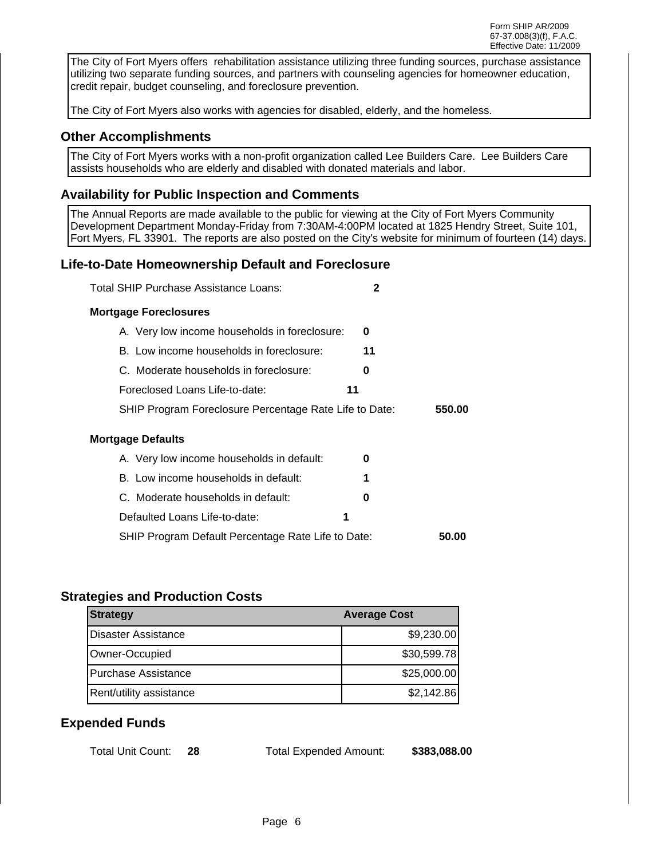Form SHIP AR/2009 67-37.008(3)(f), F.A.C. Effective Date: 11/2009

The City of Fort Myers offers rehabilitation assistance utilizing three funding sources, purchase assistance utilizing two separate funding sources, and partners with counseling agencies for homeowner education, credit repair, budget counseling, and foreclosure prevention.

The City of Fort Myers also works with agencies for disabled, elderly, and the homeless.

#### **Other Accomplishments**

The City of Fort Myers works with a non-profit organization called Lee Builders Care. Lee Builders Care assists households who are elderly and disabled with donated materials and labor.

#### **Availability for Public Inspection and Comments**

The Annual Reports are made available to the public for viewing at the City of Fort Myers Community Development Department Monday-Friday from 7:30AM-4:00PM located at 1825 Hendry Street, Suite 101, Fort Myers, FL 33901. The reports are also posted on the City's website for minimum of fourteen (14) days.

#### **Life-to-Date Homeownership Default and Foreclosure**

| Total SHIP Purchase Assistance Loans:                  | 2  |        |
|--------------------------------------------------------|----|--------|
| <b>Mortgage Foreclosures</b>                           |    |        |
| A. Very low income households in foreclosure:          | 0  |        |
| B. Low income households in foreclosure:               | 11 |        |
| C. Moderate households in foreclosure:                 | 0  |        |
| Foreclosed Loans Life-to-date:                         | 11 |        |
| SHIP Program Foreclosure Percentage Rate Life to Date: |    | 550.00 |
| Mortgage Defaults                                      |    |        |
| A. Very low income households in default:              | O  |        |
| B. Low income households in default:                   | 1  |        |
| C. Moderate households in default:                     | 0  |        |
| Defaulted Loans Life-to-date:                          | 1  |        |
| SHIP Program Default Percentage Rate Life to Date:     |    | 50.00  |

#### **Strategies and Production Costs**

| <b>Average Cost</b><br>Strategy |              |  |
|---------------------------------|--------------|--|
| Disaster Assistance             | \$9,230.00   |  |
| Owner-Occupied                  | \$30,599.78] |  |
| Purchase Assistance             | \$25,000.00] |  |
| Rent/utility assistance         | \$2,142.86   |  |

#### **Expended Funds**

| Total Unit Count: |  | <b>Total Expended Amount:</b> | \$383,088.00 |
|-------------------|--|-------------------------------|--------------|
|-------------------|--|-------------------------------|--------------|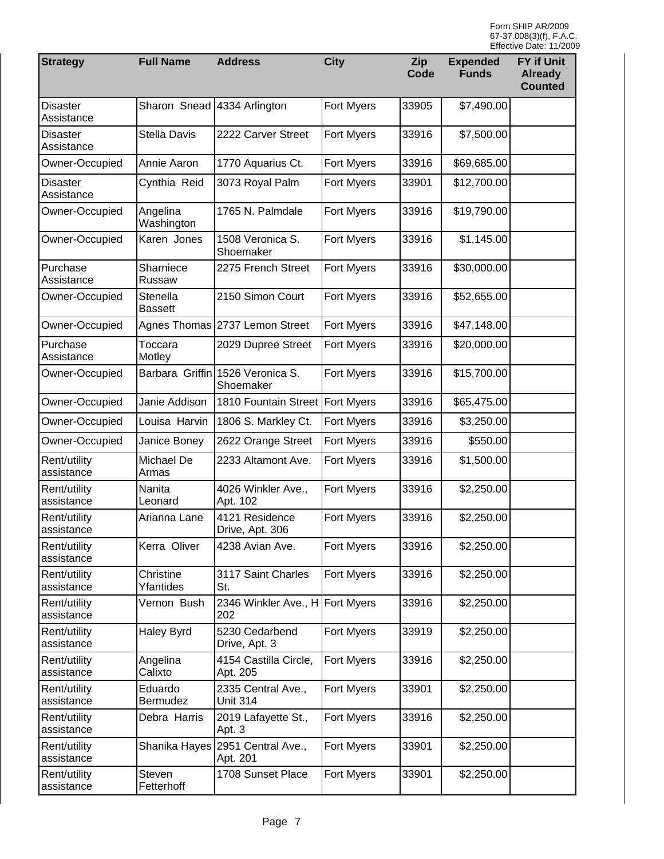| <b>Strategy</b>               | <b>Full Name</b>           | <b>Address</b><br><b>City</b>                 |                   | Zip<br>Code | <b>Expended</b><br><b>Funds</b> | <b>FY if Unit</b><br><b>Already</b><br><b>Counted</b> |
|-------------------------------|----------------------------|-----------------------------------------------|-------------------|-------------|---------------------------------|-------------------------------------------------------|
| <b>Disaster</b><br>Assistance | Sharon Snead               | 4334 Arlington                                | Fort Myers        | 33905       | \$7,490.00                      |                                                       |
| <b>Disaster</b><br>Assistance | Stella Davis               | 2222 Carver Street                            | Fort Myers        | 33916       | \$7,500.00                      |                                                       |
| Owner-Occupied                | Annie Aaron                | 1770 Aquarius Ct.                             | Fort Myers        | 33916       | \$69,685.00                     |                                                       |
| <b>Disaster</b><br>Assistance | Cynthia Reid               | 3073 Royal Palm                               | Fort Myers        | 33901       | \$12,700.00                     |                                                       |
| Owner-Occupied                | Angelina<br>Washington     | 1765 N. Palmdale                              | Fort Myers        | 33916       | \$19,790.00                     |                                                       |
| Owner-Occupied                | Karen Jones                | 1508 Veronica S.<br>Shoemaker                 | Fort Myers        | 33916       | \$1,145.00                      |                                                       |
| Purchase<br>Assistance        | Sharniece<br>Russaw        | 2275 French Street                            | Fort Myers        | 33916       | \$30,000.00                     |                                                       |
| Owner-Occupied                | Stenella<br><b>Bassett</b> | 2150 Simon Court                              | Fort Myers        | 33916       | \$52,655.00                     |                                                       |
| Owner-Occupied                |                            | Agnes Thomas 2737 Lemon Street                | <b>Fort Myers</b> | 33916       | \$47,148.00                     |                                                       |
| Purchase<br>Assistance        | Toccara<br>Motley          | 2029 Dupree Street                            | Fort Myers        | 33916       | \$20,000.00                     |                                                       |
| Owner-Occupied                |                            | Barbara Griffin 1526 Veronica S.<br>Shoemaker | Fort Myers        | 33916       | \$15,700.00                     |                                                       |
| Owner-Occupied                | Janie Addison              | 1810 Fountain Street   Fort Myers             |                   | 33916       | \$65,475.00                     |                                                       |
| Owner-Occupied                | Louisa Harvin              | 1806 S. Markley Ct.                           | Fort Myers        | 33916       | \$3,250.00                      |                                                       |
| Owner-Occupied                | Janice Boney               | 2622 Orange Street                            | Fort Myers        | 33916       | \$550.00                        |                                                       |
| Rent/utility<br>assistance    | Michael De<br>Armas        | 2233 Altamont Ave.                            | Fort Myers        | 33916       | \$1,500.00                      |                                                       |
| Rent/utility<br>assistance    | Nanita<br>Leonard          | 4026 Winkler Ave.,<br>Apt. 102                | Fort Myers        | 33916       | \$2,250.00                      |                                                       |
| Rent/utility<br>assistance    | Arianna Lane               | 4121 Residence<br>Drive, Apt. 306             | Fort Myers        | 33916       | \$2,250.00                      |                                                       |
| Rent/utility<br>assistance    | Kerra Oliver               | 4238 Avian Ave.                               | Fort Myers        | 33916       | \$2,250.00                      |                                                       |
| Rent/utility<br>assistance    | Christine<br>Yfantides     | 3117 Saint Charles<br>St.                     | Fort Myers        | 33916       | \$2,250.00                      |                                                       |
| Rent/utility<br>assistance    | Vernon Bush                | 2346 Winkler Ave., H Fort Myers<br>202        |                   | 33916       | \$2,250.00                      |                                                       |
| Rent/utility<br>assistance    | <b>Haley Byrd</b>          | 5230 Cedarbend<br>Drive, Apt. 3               | Fort Myers        | 33919       | \$2,250.00                      |                                                       |
| Rent/utility<br>assistance    | Angelina<br>Calixto        | 4154 Castilla Circle,<br>Apt. 205             | Fort Myers        | 33916       | \$2,250.00                      |                                                       |
| Rent/utility<br>assistance    | Eduardo<br>Bermudez        | 2335 Central Ave.,<br><b>Unit 314</b>         | Fort Myers        | 33901       | \$2,250.00                      |                                                       |
| Rent/utility<br>assistance    | Debra Harris               | 2019 Lafayette St.,<br>Apt. 3                 | Fort Myers        | 33916       | \$2,250.00                      |                                                       |
| Rent/utility<br>assistance    |                            | Shanika Hayes 2951 Central Ave.,<br>Apt. 201  | Fort Myers        | 33901       | \$2,250.00                      |                                                       |
| Rent/utility<br>assistance    | Steven<br>Fetterhoff       | 1708 Sunset Place                             | Fort Myers        | 33901       | \$2,250.00                      |                                                       |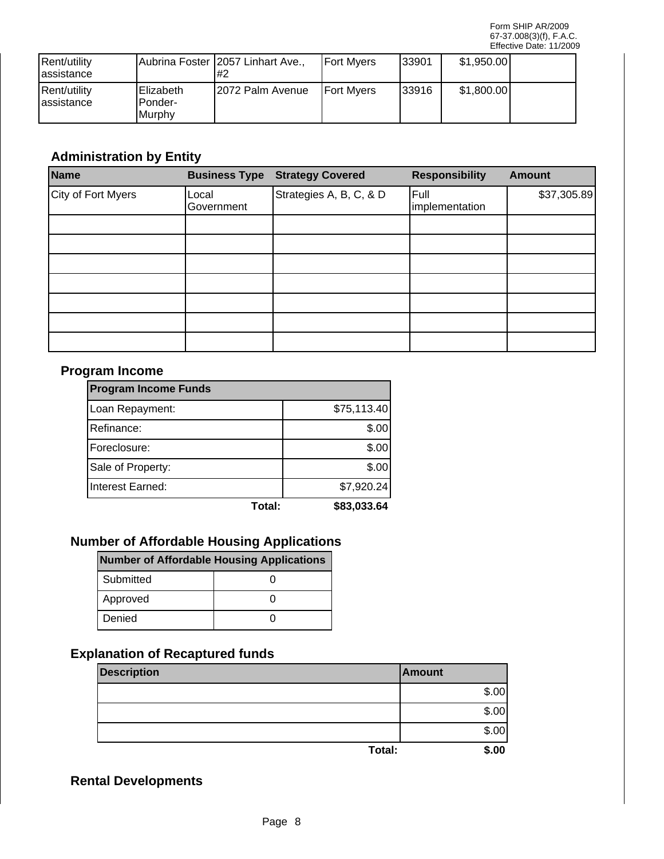| Rent/utility<br>lassistance |                                          | Aubrina Foster (2057 Linhart Ave.,<br>1#2 | <b>IFort Mvers</b> | 33901 | \$1,950.00 |  |
|-----------------------------|------------------------------------------|-------------------------------------------|--------------------|-------|------------|--|
| Rent/utility<br>lassistance | <b>IElizabeth</b><br>IPonder-<br>IMurphy | 12072 Palm Avenue                         | <b>IFort Mvers</b> | 33916 | \$1,800.00 |  |

# **Administration by Entity**

| Name               |                     | <b>Business Type Strategy Covered</b> | <b>Responsibility</b>  | <b>Amount</b> |
|--------------------|---------------------|---------------------------------------|------------------------|---------------|
| City of Fort Myers | Local<br>Government | Strategies A, B, C, & D               | Full<br>implementation | \$37,305.89   |
|                    |                     |                                       |                        |               |
|                    |                     |                                       |                        |               |
|                    |                     |                                       |                        |               |
|                    |                     |                                       |                        |               |
|                    |                     |                                       |                        |               |
|                    |                     |                                       |                        |               |
|                    |                     |                                       |                        |               |

#### **Program Income**

| <b>Program Income Funds</b> |        |             |  |  |  |
|-----------------------------|--------|-------------|--|--|--|
| Loan Repayment:             |        | \$75,113.40 |  |  |  |
| Refinance:                  |        | \$.00       |  |  |  |
| Foreclosure:                |        | \$.00       |  |  |  |
| Sale of Property:           |        | \$.00       |  |  |  |
| Interest Earned:            |        | \$7,920.24  |  |  |  |
|                             | Total: | \$83,033.64 |  |  |  |

## **Number of Affordable Housing Applications**

| Number of Affordable Housing Applications |  |  |  |  |  |
|-------------------------------------------|--|--|--|--|--|
| l Submitted                               |  |  |  |  |  |
| Approved                                  |  |  |  |  |  |
| Denied                                    |  |  |  |  |  |

# **Explanation of Recaptured funds**

| <b>Description</b> |        | <b>Amount</b> |
|--------------------|--------|---------------|
|                    |        | \$.00         |
|                    |        | \$.00         |
|                    |        | \$.00         |
|                    | Total: | \$.00         |

## **Rental Developments**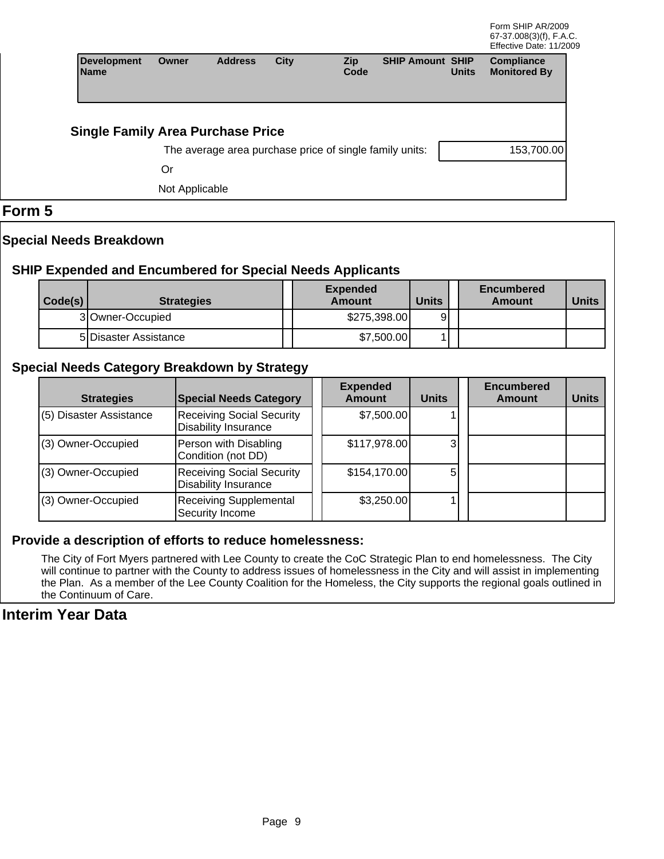| <b>Development</b><br><b>Name</b>        | <b>Owner</b>   | <b>Address</b> | City | <b>Zip</b><br>Code                                      | <b>SHIP Amount SHIP</b> | <b>Units</b> | <b>Compliance</b><br><b>Monitored By</b> |
|------------------------------------------|----------------|----------------|------|---------------------------------------------------------|-------------------------|--------------|------------------------------------------|
| <b>Single Family Area Purchase Price</b> |                |                |      |                                                         |                         |              |                                          |
|                                          |                |                |      | The average area purchase price of single family units: |                         |              | 153,700.00                               |
|                                          | Or             |                |      |                                                         |                         |              |                                          |
|                                          | Not Applicable |                |      |                                                         |                         |              |                                          |

#### **Form 5**

#### **Special Needs Breakdown**

#### **SHIP Expended and Encumbered for Special Needs Applicants**

| Code(s) | <b>Strategies</b>     | <b>Expended</b><br>Amount | <b>Units</b> | Encumbered<br>Amount | <b>Units</b> |
|---------|-----------------------|---------------------------|--------------|----------------------|--------------|
|         | 3 Owner-Occupied      | \$275,398.00              | 91           |                      |              |
|         | 5 Disaster Assistance | \$7,500.00                |              |                      |              |

#### **Special Needs Category Breakdown by Strategy**

| <b>Strategies</b>       | <b>Special Needs Category</b>                                   | <b>Expended</b><br>Amount | <b>Units</b> | <b>Encumbered</b><br>Amount | <b>Units</b> |
|-------------------------|-----------------------------------------------------------------|---------------------------|--------------|-----------------------------|--------------|
| (5) Disaster Assistance | <b>Receiving Social Security</b><br><b>Disability Insurance</b> | \$7,500.00                |              |                             |              |
| (3) Owner-Occupied      | Person with Disabling<br>Condition (not DD)                     | \$117,978.00              | 3            |                             |              |
| (3) Owner-Occupied      | <b>Receiving Social Security</b><br><b>Disability Insurance</b> | \$154,170.00              | 5            |                             |              |
| (3) Owner-Occupied      | <b>Receiving Supplemental</b><br>Security Income                | \$3,250.00                |              |                             |              |

#### **Provide a description of efforts to reduce homelessness:**

The City of Fort Myers partnered with Lee County to create the CoC Strategic Plan to end homelessness. The City will continue to partner with the County to address issues of homelessness in the City and will assist in implementing the Plan. As a member of the Lee County Coalition for the Homeless, the City supports the regional goals outlined in the Continuum of Care.

#### **Interim Year Data**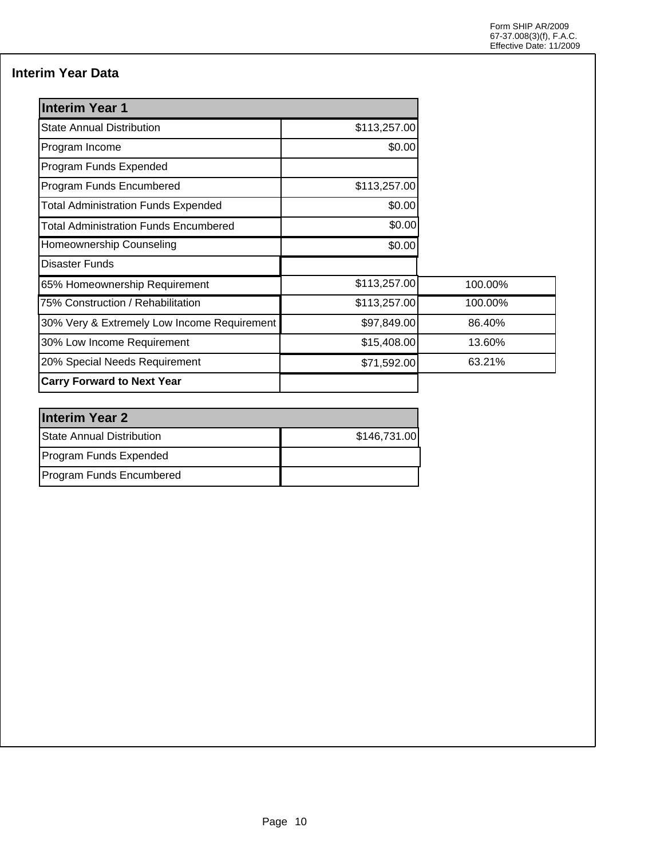## **Interim Year Data**

| <b>Interim Year 1</b>                        |              |         |
|----------------------------------------------|--------------|---------|
| <b>State Annual Distribution</b>             | \$113,257.00 |         |
| Program Income                               | \$0.00       |         |
| Program Funds Expended                       |              |         |
| Program Funds Encumbered                     | \$113,257.00 |         |
| <b>Total Administration Funds Expended</b>   | \$0.00       |         |
| <b>Total Administration Funds Encumbered</b> | \$0.00       |         |
| Homeownership Counseling                     | \$0.00       |         |
| <b>Disaster Funds</b>                        |              |         |
| 65% Homeownership Requirement                | \$113,257.00 | 100.00% |
| 75% Construction / Rehabilitation            | \$113,257.00 | 100.00% |
| 30% Very & Extremely Low Income Requirement  | \$97,849.00  | 86.40%  |
| 30% Low Income Requirement                   | \$15,408.00  | 13.60%  |
| 20% Special Needs Requirement                | \$71,592.00  | 63.21%  |
| <b>Carry Forward to Next Year</b>            |              |         |

| <b>Interim Year 2</b>           |              |  |  |  |  |
|---------------------------------|--------------|--|--|--|--|
| State Annual Distribution       | \$146,731.00 |  |  |  |  |
| Program Funds Expended          |              |  |  |  |  |
| <b>Program Funds Encumbered</b> |              |  |  |  |  |